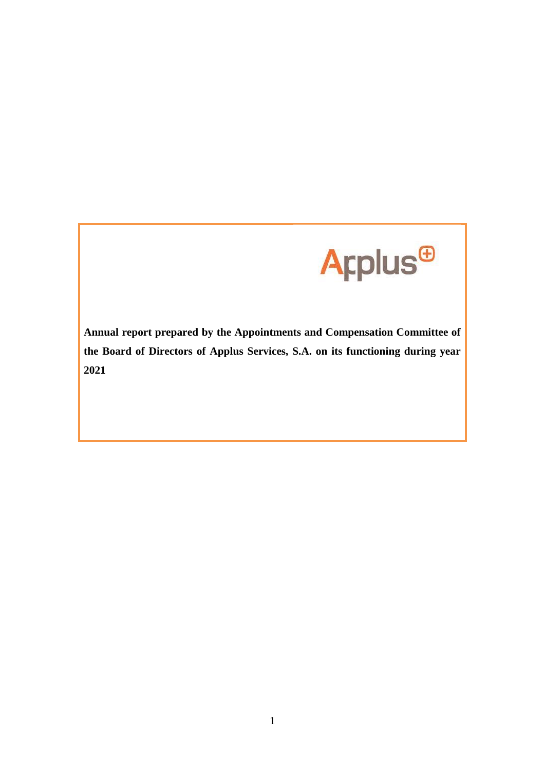

**Annual report prepared by the Appointments and Compensation Committee of the Board of Directors of Applus Services, S.A. on its functioning during year 2021**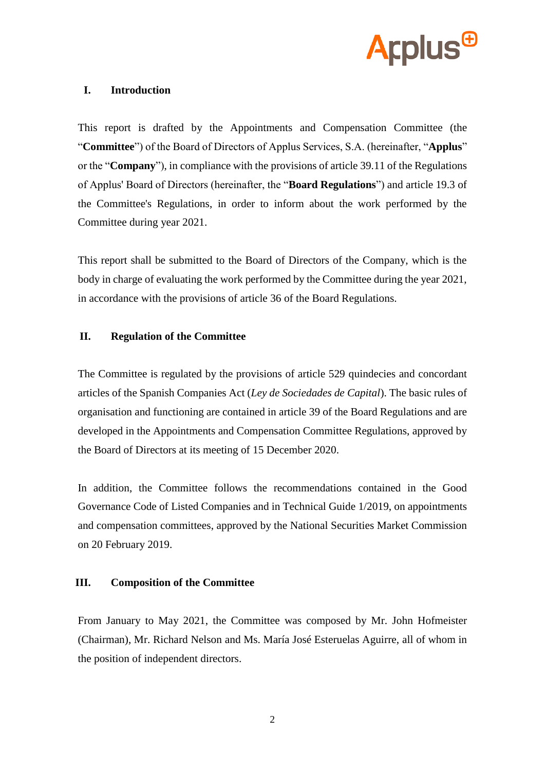

## **I. Introduction**

This report is drafted by the Appointments and Compensation Committee (the "**Committee**") of the Board of Directors of Applus Services, S.A. (hereinafter, "**Applus**" or the "**Company**"), in compliance with the provisions of article 39.11 of the Regulations of Applus' Board of Directors (hereinafter, the "**Board Regulations**") and article 19.3 of the Committee's Regulations, in order to inform about the work performed by the Committee during year 2021.

This report shall be submitted to the Board of Directors of the Company, which is the body in charge of evaluating the work performed by the Committee during the year 2021, in accordance with the provisions of article 36 of the Board Regulations.

# **II. Regulation of the Committee**

The Committee is regulated by the provisions of article 529 quindecies and concordant articles of the Spanish Companies Act (*Ley de Sociedades de Capital*). The basic rules of organisation and functioning are contained in article 39 of the Board Regulations and are developed in the Appointments and Compensation Committee Regulations, approved by the Board of Directors at its meeting of 15 December 2020.

In addition, the Committee follows the recommendations contained in the Good Governance Code of Listed Companies and in Technical Guide 1/2019, on appointments and compensation committees, approved by the National Securities Market Commission on 20 February 2019.

#### **III. Composition of the Committee**

From January to May 2021, the Committee was composed by Mr. John Hofmeister (Chairman), Mr. Richard Nelson and Ms. María José Esteruelas Aguirre, all of whom in the position of independent directors.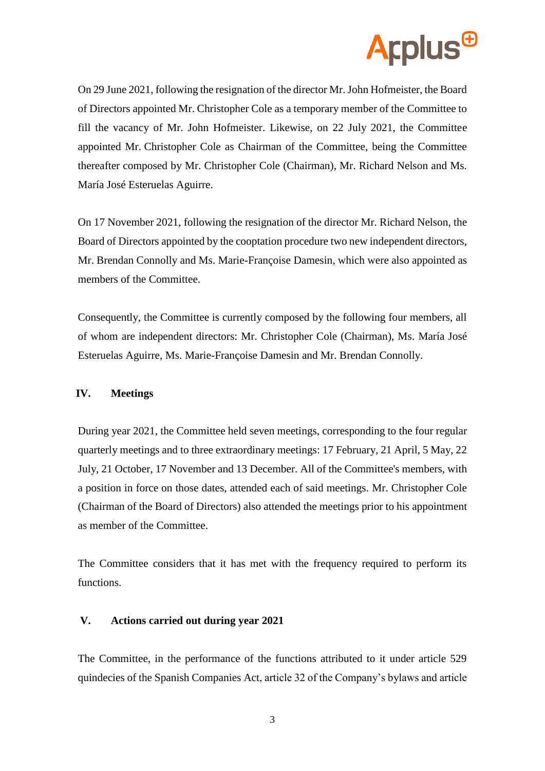

On 29 June 2021, following the resignation of the director Mr. John Hofmeister, the Board of Directors appointed Mr. Christopher Cole as a temporary member of the Committee to fill the vacancy of Mr. John Hofmeister. Likewise, on 22 July 2021, the Committee appointed Mr. Christopher Cole as Chairman of the Committee, being the Committee thereafter composed by Mr. Christopher Cole (Chairman), Mr. Richard Nelson and Ms. María José Esteruelas Aguirre.

On 17 November 2021, following the resignation of the director Mr. Richard Nelson, the Board of Directors appointed by the cooptation procedure two new independent directors, Mr. Brendan Connolly and Ms. Marie-Françoise Damesin, which were also appointed as members of the Committee.

Consequently, the Committee is currently composed by the following four members, all of whom are independent directors: Mr. Christopher Cole (Chairman), Ms. María José Esteruelas Aguirre, Ms. Marie-Françoise Damesin and Mr. Brendan Connolly.

#### **IV. Meetings**

During year 2021, the Committee held seven meetings, corresponding to the four regular quarterly meetings and to three extraordinary meetings: 17 February, 21 April, 5 May, 22 July, 21 October, 17 November and 13 December. All of the Committee's members, with a position in force on those dates, attended each of said meetings. Mr. Christopher Cole (Chairman of the Board of Directors) also attended the meetings prior to his appointment as member of the Committee.

The Committee considers that it has met with the frequency required to perform its functions.

#### **V. Actions carried out during year 2021**

The Committee, in the performance of the functions attributed to it under article 529 quindecies of the Spanish Companies Act, article 32 of the Company's bylaws and article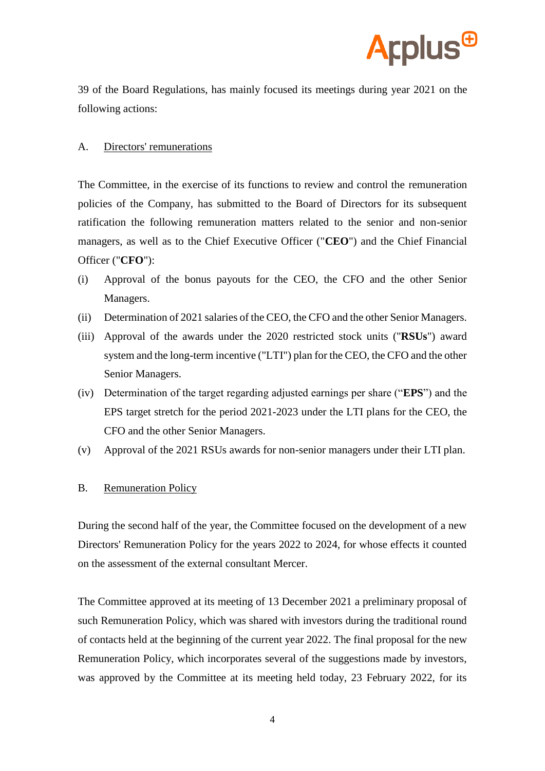

39 of the Board Regulations, has mainly focused its meetings during year 2021 on the following actions:

#### A. Directors' remunerations

The Committee, in the exercise of its functions to review and control the remuneration policies of the Company, has submitted to the Board of Directors for its subsequent ratification the following remuneration matters related to the senior and non-senior managers, as well as to the Chief Executive Officer ("**CEO**") and the Chief Financial Officer ("**CFO**"):

- (i) Approval of the bonus payouts for the CEO, the CFO and the other Senior Managers.
- (ii) Determination of 2021 salaries of the CEO, the CFO and the other Senior Managers.
- (iii) Approval of the awards under the 2020 restricted stock units ("**RSUs**") award system and the long-term incentive ("LTI") plan for the CEO, the CFO and the other Senior Managers.
- (iv) Determination of the target regarding adjusted earnings per share ("**EPS**") and the EPS target stretch for the period 2021-2023 under the LTI plans for the CEO, the CFO and the other Senior Managers.
- (v) Approval of the 2021 RSUs awards for non-senior managers under their LTI plan.

#### B. Remuneration Policy

During the second half of the year, the Committee focused on the development of a new Directors' Remuneration Policy for the years 2022 to 2024, for whose effects it counted on the assessment of the external consultant Mercer.

The Committee approved at its meeting of 13 December 2021 a preliminary proposal of such Remuneration Policy, which was shared with investors during the traditional round of contacts held at the beginning of the current year 2022. The final proposal for the new Remuneration Policy, which incorporates several of the suggestions made by investors, was approved by the Committee at its meeting held today, 23 February 2022, for its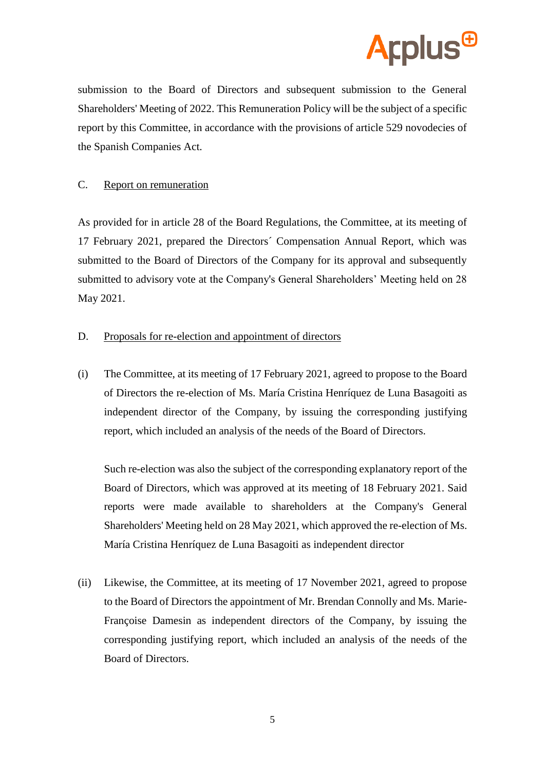

submission to the Board of Directors and subsequent submission to the General Shareholders' Meeting of 2022. This Remuneration Policy will be the subject of a specific report by this Committee, in accordance with the provisions of article 529 novodecies of the Spanish Companies Act.

### C. Report on remuneration

As provided for in article 28 of the Board Regulations, the Committee, at its meeting of 17 February 2021, prepared the Directors´ Compensation Annual Report, which was submitted to the Board of Directors of the Company for its approval and subsequently submitted to advisory vote at the Company's General Shareholders' Meeting held on 28 May 2021.

## D. Proposals for re-election and appointment of directors

(i) The Committee, at its meeting of 17 February 2021, agreed to propose to the Board of Directors the re-election of Ms. María Cristina Henríquez de Luna Basagoiti as independent director of the Company, by issuing the corresponding justifying report, which included an analysis of the needs of the Board of Directors.

Such re-election was also the subject of the corresponding explanatory report of the Board of Directors, which was approved at its meeting of 18 February 2021. Said reports were made available to shareholders at the Company's General Shareholders' Meeting held on 28 May 2021, which approved the re-election of Ms. María Cristina Henríquez de Luna Basagoiti as independent director

(ii) Likewise, the Committee, at its meeting of 17 November 2021, agreed to propose to the Board of Directors the appointment of Mr. Brendan Connolly and Ms. Marie-Françoise Damesin as independent directors of the Company, by issuing the corresponding justifying report, which included an analysis of the needs of the Board of Directors.